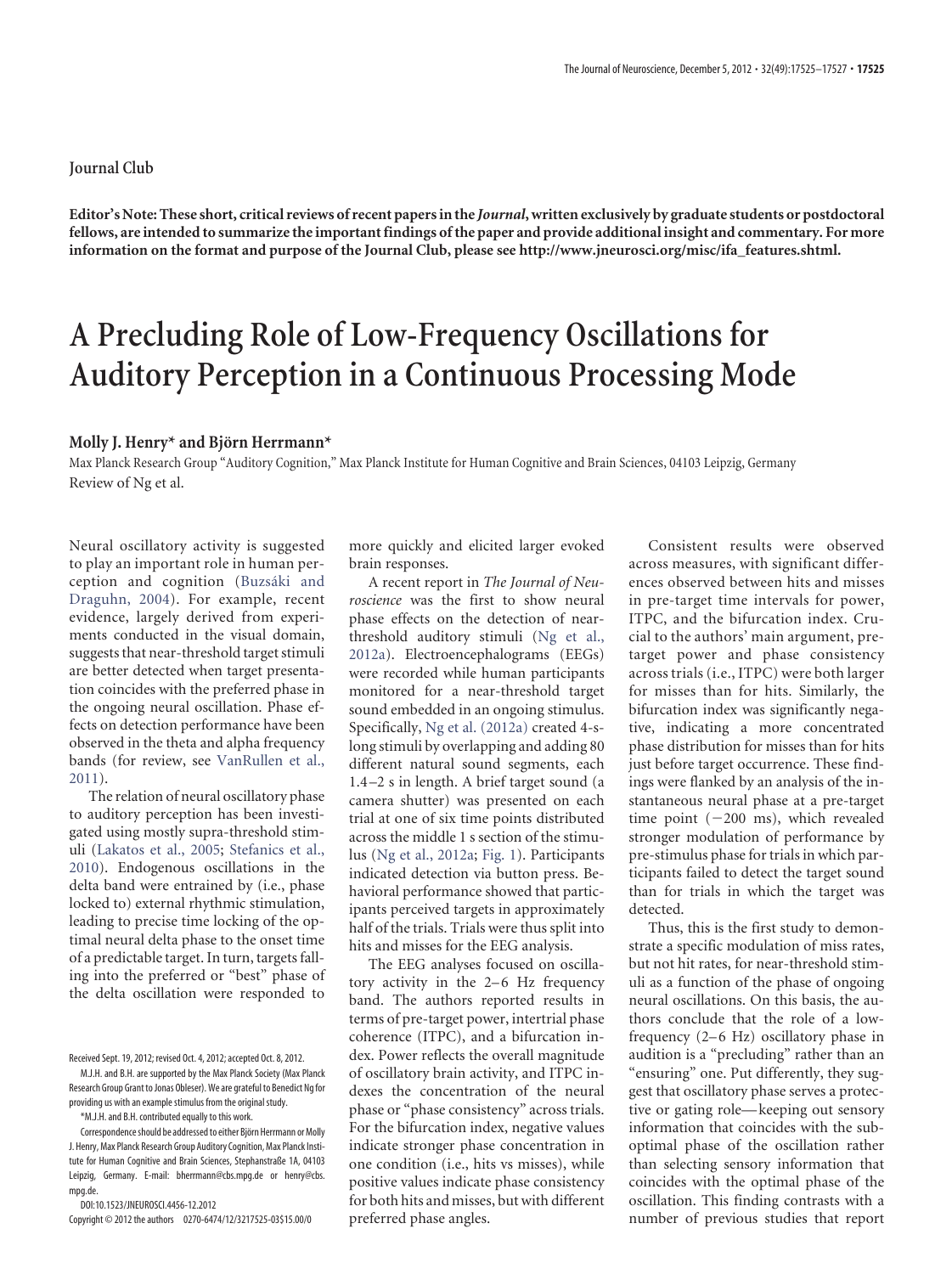## **Journal Club**

**Editor's Note: These short, critical reviews of recent papers in the** *Journal***, written exclusively by graduate students or postdoctoral fellows, are intended to summarize the important findings of the paper and provide additional insight and commentary. For more information on the format and purpose of the Journal Club, please see [http://www.jneurosci.org/misc/ifa\\_features.shtml.](http://www.jneurosci.org/misc/ifa_features.shtml)**

## **A Precluding Role of Low-Frequency Oscillations for Auditory Perception in a Continuous Processing Mode**

## **Molly J. Henry\* and Bjo¨rn Herrmann\***

Max Planck Research Group "Auditory Cognition," Max Planck Institute for Human Cognitive and Brain Sciences, 04103 Leipzig, Germany Review of [Ng et al.](http://www.jneurosci.org/cgi/content/full/32/35/12268)

Neural oscillatory activity is suggested to play an important role in human perception and cognition (Buzsáki and [Draguhn, 2004\)](#page-2-0). For example, recent evidence, largely derived from experiments conducted in the visual domain, suggests that near-threshold target stimuli are better detected when target presentation coincides with the preferred phase in the ongoing neural oscillation. Phase effects on detection performance have been observed in the theta and alpha frequency bands (for review, see [VanRullen et al.,](#page-2-1) [2011\)](#page-2-1).

The relation of neural oscillatory phase to auditory perception has been investigated using mostly supra-threshold stimuli [\(Lakatos et al., 2005;](#page-2-2) [Stefanics et al.,](#page-2-3) [2010\)](#page-2-3). Endogenous oscillations in the delta band were entrained by (i.e., phase locked to) external rhythmic stimulation, leading to precise time locking of the optimal neural delta phase to the onset time of a predictable target. In turn, targets falling into the preferred or "best" phase of the delta oscillation were responded to

M.J.H. and B.H. are supported by the Max Planck Society (Max Planck Research Group Grant to Jonas Obleser). We are grateful to Benedict Ng for providing us with an example stimulus from the original study.

\*M.J.H. and B.H. contributed equally to this work.

DOI:10.1523/JNEUROSCI.4456-12.2012

Copyright © 2012 the authors 0270-6474/12/3217525-03\$15.00/0

more quickly and elicited larger evoked brain responses.

A recent report in *The Journal of Neuroscience* was the first to show neural phase effects on the detection of nearthreshold auditory stimuli [\(Ng et al.,](#page-2-4) [2012a\)](#page-2-4). Electroencephalograms (EEGs) were recorded while human participants monitored for a near-threshold target sound embedded in an ongoing stimulus. Specifically, [Ng et al. \(2012a\)](#page-2-4) created 4-slong stimuli by overlapping and adding 80 different natural sound segments, each 1.4 –2 s in length. A brief target sound (a camera shutter) was presented on each trial at one of six time points distributed across the middle 1 s section of the stimulus [\(Ng et al., 2012a;](#page-2-4) [Fig. 1\)](#page-1-0). Participants indicated detection via button press. Behavioral performance showed that participants perceived targets in approximately half of the trials. Trials were thus split into hits and misses for the EEG analysis.

The EEG analyses focused on oscillatory activity in the 2–6 Hz frequency band. The authors reported results in terms of pre-target power, intertrial phase coherence (ITPC), and a bifurcation index. Power reflects the overall magnitude of oscillatory brain activity, and ITPC indexes the concentration of the neural phase or "phase consistency" across trials. For the bifurcation index, negative values indicate stronger phase concentration in one condition (i.e., hits vs misses), while positive values indicate phase consistency for both hits and misses, but with different preferred phase angles.

Consistent results were observed across measures, with significant differences observed between hits and misses in pre-target time intervals for power, ITPC, and the bifurcation index. Crucial to the authors' main argument, pretarget power and phase consistency across trials (i.e., ITPC) were both larger for misses than for hits. Similarly, the bifurcation index was significantly negative, indicating a more concentrated phase distribution for misses than for hits just before target occurrence. These findings were flanked by an analysis of the instantaneous neural phase at a pre-target time point  $(-200 \text{ ms})$ , which revealed stronger modulation of performance by pre-stimulus phase for trials in which participants failed to detect the target sound than for trials in which the target was detected.

Thus, this is the first study to demonstrate a specific modulation of miss rates, but not hit rates, for near-threshold stimuli as a function of the phase of ongoing neural oscillations. On this basis, the authors conclude that the role of a lowfrequency (2–6 Hz) oscillatory phase in audition is a "precluding" rather than an "ensuring" one. Put differently, they suggest that oscillatory phase serves a protective or gating role—keeping out sensory information that coincides with the suboptimal phase of the oscillation rather than selecting sensory information that coincides with the optimal phase of the oscillation. This finding contrasts with a number of previous studies that report

Received Sept. 19, 2012; revised Oct. 4, 2012; accepted Oct. 8, 2012.

Correspondence should be addressed to either Björn Herrmann or Molly J. Henry, Max Planck Research Group Auditory Cognition, Max Planck Institute for Human Cognitive and Brain Sciences, Stephanstraße 1A, 04103 Leipzig, Germany. E-mail: bherrmann@cbs.mpg.de or henry@cbs. mpg.de.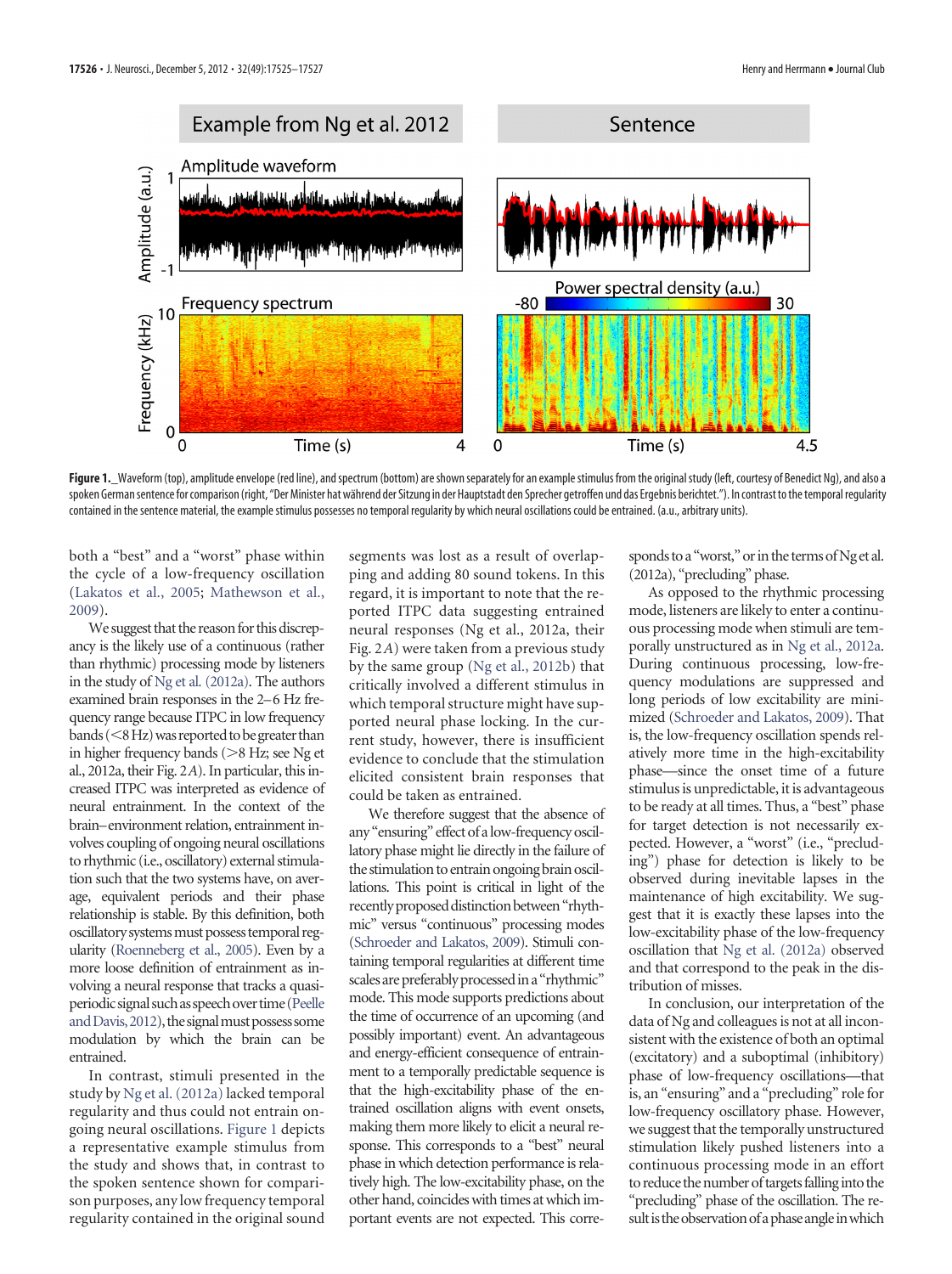

<span id="page-1-0"></span>Figure 1.\_Waveform (top), amplitude envelope (red line), and spectrum (bottom) are shown separately for an example stimulus from the original study (left, courtesy of Benedict Ng), and also a spoken German sentence for comparison (right, "Der Minister hat während der Sitzung in der Hauptstadt den Sprecher getroffen und das Ergebnis berichtet."). In contrast to the temporal regularity contained in the sentence material, the example stimulus possesses no temporal regularity by which neural oscillations could be entrained. (a.u., arbitrary units).

both a "best" and a "worst" phase within the cycle of a low-frequency oscillation [\(Lakatos et al., 2005;](#page-2-2) [Mathewson et al.,](#page-2-5) [2009\)](#page-2-5).

We suggest that the reason for this discrepancy is the likely use of a continuous (rather than rhythmic) processing mode by listeners in the study of [Ng et al. \(2012a\).](#page-2-4) The authors examined brain responses in the 2–6 Hz frequency range because ITPC in low frequency bands (<8 Hz) was reported to be greater than in higher frequency bands ( $>8$  Hz; see Ng et al., 2012a, their Fig. 2*A*). In particular, this increased ITPC was interpreted as evidence of neural entrainment. In the context of the brain–environment relation, entrainment involves coupling of ongoing neural oscillations to rhythmic (i.e., oscillatory) external stimulation such that the two systems have, on average, equivalent periods and their phase relationship is stable. By this definition, both oscillatory systems must possess temporal regularity [\(Roenneberg et al., 2005\)](#page-2-6). Even by a more loose definition of entrainment as involving a neural response that tracks a quasiperiodic signal suchas speechover time[\(Peelle](#page-2-7) and Davis, 2012), the signal must possess some modulation by which the brain can be entrained.

In contrast, stimuli presented in the study by [Ng et al. \(2012a\)](#page-2-4) lacked temporal regularity and thus could not entrain ongoing neural oscillations. [Figure 1](#page-1-0) depicts a representative example stimulus from the study and shows that, in contrast to the spoken sentence shown for comparison purposes, any low frequency temporal regularity contained in the original sound

segments was lost as a result of overlapping and adding 80 sound tokens. In this regard, it is important to note that the reported ITPC data suggesting entrained neural responses (Ng et al., 2012a, their Fig. 2*A*) were taken from a previous study by the same group [\(Ng et al., 2012b\)](#page-2-8) that critically involved a different stimulus in which temporal structure might have supported neural phase locking. In the current study, however, there is insufficient evidence to conclude that the stimulation elicited consistent brain responses that could be taken as entrained.

We therefore suggest that the absence of any "ensuring" effect of alow-frequency oscillatory phase might lie directly in the failure of the stimulation to entrain ongoing brain oscillations. This point is critical in light of the recently proposed distinction between "rhythmic" versus "continuous" processing modes [\(Schroeder and Lakatos, 2009\)](#page-2-9). Stimuli containing temporal regularities at different time scales are preferably processed in a "rhythmic" mode. This mode supports predictions about the time of occurrence of an upcoming (and possibly important) event. An advantageous and energy-efficient consequence of entrainment to a temporally predictable sequence is that the high-excitability phase of the entrained oscillation aligns with event onsets, making them more likely to elicit a neural response. This corresponds to a "best" neural phase in which detection performance is relatively high. The low-excitability phase, on the other hand, coincides with times at which important events are not expected. This corresponds to a "worst," or in the terms of Ng et al. (2012a), "precluding" phase.

As opposed to the rhythmic processing mode, listeners are likely to enter a continuous processing mode when stimuli are temporally unstructured as in [Ng et al., 2012a.](#page-2-4) During continuous processing, low-frequency modulations are suppressed and long periods of low excitability are minimized [\(Schroeder and Lakatos, 2009\)](#page-2-9). That is, the low-frequency oscillation spends relatively more time in the high-excitability phase—since the onset time of a future stimulus is unpredictable, it is advantageous to be ready at all times. Thus, a "best" phase for target detection is not necessarily expected. However, a "worst" (i.e., "precluding") phase for detection is likely to be observed during inevitable lapses in the maintenance of high excitability. We suggest that it is exactly these lapses into the low-excitability phase of the low-frequency oscillation that [Ng et al. \(2012a\)](#page-2-4) observed and that correspond to the peak in the distribution of misses.

In conclusion, our interpretation of the data of Ng and colleagues is not at all inconsistent with the existence of both an optimal (excitatory) and a suboptimal (inhibitory) phase of low-frequency oscillations—that is, an "ensuring" and a "precluding" role for low-frequency oscillatory phase. However, we suggest that the temporally unstructured stimulation likely pushed listeners into a continuous processing mode in an effort to reduce the number of targets falling into the "precluding" phase of the oscillation. The result is the observation of a phase angle in which